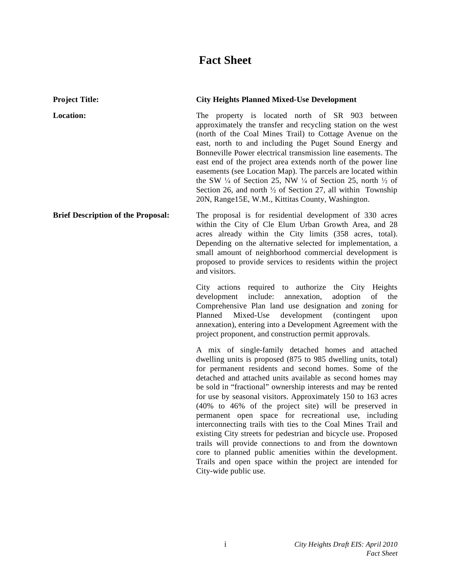# **Fact Sheet**

| <b>Project Title:</b>                     | <b>City Heights Planned Mixed-Use Development</b>                                                                                                                                                                                                                                                                                                                                                                                                                                                                                                                                                                                                                                                                                                                                                                                           |
|-------------------------------------------|---------------------------------------------------------------------------------------------------------------------------------------------------------------------------------------------------------------------------------------------------------------------------------------------------------------------------------------------------------------------------------------------------------------------------------------------------------------------------------------------------------------------------------------------------------------------------------------------------------------------------------------------------------------------------------------------------------------------------------------------------------------------------------------------------------------------------------------------|
| Location:                                 | The property is located north of SR 903 between<br>approximately the transfer and recycling station on the west<br>(north of the Coal Mines Trail) to Cottage Avenue on the<br>east, north to and including the Puget Sound Energy and<br>Bonneville Power electrical transmission line easements. The<br>east end of the project area extends north of the power line<br>easements (see Location Map). The parcels are located within<br>the SW $\frac{1}{4}$ of Section 25, NW $\frac{1}{4}$ of Section 25, north $\frac{1}{2}$ of<br>Section 26, and north $\frac{1}{2}$ of Section 27, all within Township<br>20N, Range15E, W.M., Kittitas County, Washington.                                                                                                                                                                         |
| <b>Brief Description of the Proposal:</b> | The proposal is for residential development of 330 acres<br>within the City of Cle Elum Urban Growth Area, and 28<br>acres already within the City limits (358 acres, total).<br>Depending on the alternative selected for implementation, a<br>small amount of neighborhood commercial development is<br>proposed to provide services to residents within the project<br>and visitors.                                                                                                                                                                                                                                                                                                                                                                                                                                                     |
|                                           | City actions<br>required to authorize the City Heights<br>include:<br>annexation,<br>adoption<br>of<br>development<br>the<br>Comprehensive Plan land use designation and zoning for<br>development<br>Planned<br>Mixed-Use<br>(contingent)<br>upon<br>annexation), entering into a Development Agreement with the<br>project proponent, and construction permit approvals.                                                                                                                                                                                                                                                                                                                                                                                                                                                                  |
|                                           | A mix of single-family detached homes and attached<br>dwelling units is proposed (875 to 985 dwelling units, total)<br>for permanent residents and second homes. Some of the<br>detached and attached units available as second homes may<br>be sold in "fractional" ownership interests and may be rented<br>for use by seasonal visitors. Approximately 150 to 163 acres<br>(40% to 46% of the project site) will be preserved in<br>permanent open space for recreational use, including<br>interconnecting trails with ties to the Coal Mines Trail and<br>existing City streets for pedestrian and bicycle use. Proposed<br>trails will provide connections to and from the downtown<br>core to planned public amenities within the development.<br>Trails and open space within the project are intended for<br>City-wide public use. |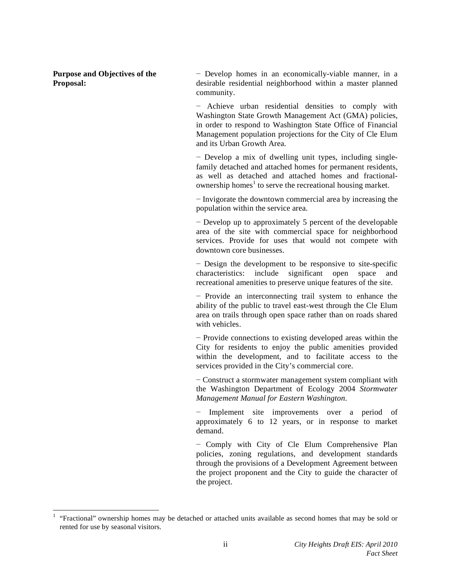**Purpose and Objectives of the Proposal:** 

-

 Develop homes in an economically-viable manner, in a desirable residential neighborhood within a master planned community.

 Achieve urban residential densities to comply with Washington State Growth Management Act (GMA) policies, in order to respond to Washington State Office of Financial Management population projections for the City of Cle Elum and its Urban Growth Area.

 Develop a mix of dwelling unit types, including singlefamily detached and attached homes for permanent residents, as well as detached and attached homes and fractionalownership homes<sup>1</sup> to serve the recreational housing market.

 $-I$ nvigorate the downtown commercial area by increasing the population within the service area.

 Develop up to approximately 5 percent of the developable area of the site with commercial space for neighborhood services. Provide for uses that would not compete with downtown core businesses.

 Design the development to be responsive to site-specific characteristics: include significant open space and recreational amenities to preserve unique features of the site.

- Provide an interconnecting trail system to enhance the ability of the public to travel east-west through the Cle Elum area on trails through open space rather than on roads shared with vehicles.

- Provide connections to existing developed areas within the City for residents to enjoy the public amenities provided within the development, and to facilitate access to the services provided in the City's commercial core.

 Construct a stormwater management system compliant with the Washington Department of Ecology 2004 *Stormwater Management Manual for Eastern Washington*.

 Implement site improvements over a period of approximately 6 to 12 years, or in response to market demand.

- Comply with City of Cle Elum Comprehensive Plan policies, zoning regulations, and development standards through the provisions of a Development Agreement between the project proponent and the City to guide the character of the project.

<sup>1</sup> "Fractional" ownership homes may be detached or attached units available as second homes that may be sold or rented for use by seasonal visitors.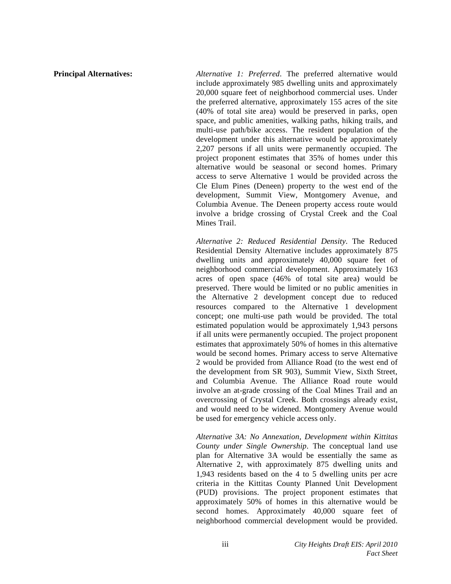**Principal Alternatives:** *Alternative 1: Preferred*. The preferred alternative would include approximately 985 dwelling units and approximately 20,000 square feet of neighborhood commercial uses. Under the preferred alternative, approximately 155 acres of the site (40% of total site area) would be preserved in parks, open space, and public amenities, walking paths, hiking trails, and multi-use path/bike access. The resident population of the development under this alternative would be approximately 2,207 persons if all units were permanently occupied. The project proponent estimates that 35% of homes under this alternative would be seasonal or second homes. Primary access to serve Alternative 1 would be provided across the Cle Elum Pines (Deneen) property to the west end of the development, Summit View, Montgomery Avenue, and Columbia Avenue. The Deneen property access route would involve a bridge crossing of Crystal Creek and the Coal Mines Trail.

> *Alternative 2: Reduced Residential Density*. The Reduced Residential Density Alternative includes approximately 875 dwelling units and approximately 40,000 square feet of neighborhood commercial development. Approximately 163 acres of open space (46% of total site area) would be preserved. There would be limited or no public amenities in the Alternative 2 development concept due to reduced resources compared to the Alternative 1 development concept; one multi-use path would be provided. The total estimated population would be approximately 1,943 persons if all units were permanently occupied. The project proponent estimates that approximately 50% of homes in this alternative would be second homes. Primary access to serve Alternative 2 would be provided from Alliance Road (to the west end of the development from SR 903), Summit View, Sixth Street, and Columbia Avenue. The Alliance Road route would involve an at-grade crossing of the Coal Mines Trail and an overcrossing of Crystal Creek. Both crossings already exist, and would need to be widened. Montgomery Avenue would be used for emergency vehicle access only.

> *Alternative 3A: No Annexation, Development within Kittitas County under Single Ownership*. The conceptual land use plan for Alternative 3A would be essentially the same as Alternative 2, with approximately 875 dwelling units and 1,943 residents based on the 4 to 5 dwelling units per acre criteria in the Kittitas County Planned Unit Development (PUD) provisions. The project proponent estimates that approximately 50% of homes in this alternative would be second homes. Approximately 40,000 square feet of neighborhood commercial development would be provided.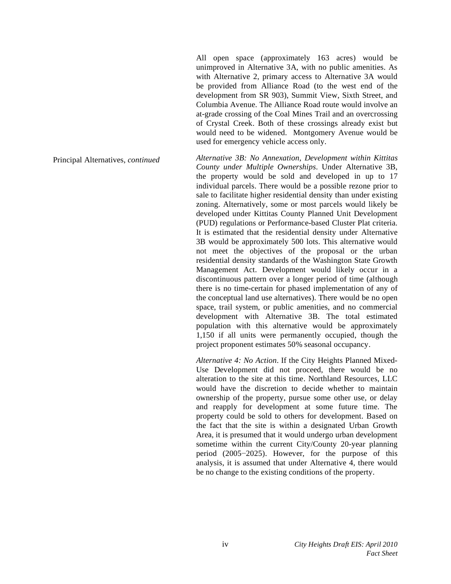All open space (approximately 163 acres) would be unimproved in Alternative 3A, with no public amenities. As with Alternative 2, primary access to Alternative 3A would be provided from Alliance Road (to the west end of the development from SR 903), Summit View, Sixth Street, and Columbia Avenue. The Alliance Road route would involve an at-grade crossing of the Coal Mines Trail and an overcrossing of Crystal Creek. Both of these crossings already exist but would need to be widened. Montgomery Avenue would be used for emergency vehicle access only.

Principal Alternatives, *continued Alternative 3B: No Annexation, Development within Kittitas County under Multiple Ownerships*. Under Alternative 3B, the property would be sold and developed in up to 17 individual parcels. There would be a possible rezone prior to sale to facilitate higher residential density than under existing zoning. Alternatively, some or most parcels would likely be developed under Kittitas County Planned Unit Development (PUD) regulations or Performance-based Cluster Plat criteria. It is estimated that the residential density under Alternative 3B would be approximately 500 lots. This alternative would not meet the objectives of the proposal or the urban residential density standards of the Washington State Growth Management Act. Development would likely occur in a discontinuous pattern over a longer period of time (although there is no time-certain for phased implementation of any of the conceptual land use alternatives). There would be no open space, trail system, or public amenities, and no commercial development with Alternative 3B. The total estimated population with this alternative would be approximately 1,150 if all units were permanently occupied, though the project proponent estimates 50% seasonal occupancy.

> *Alternative 4: No Action*. If the City Heights Planned Mixed-Use Development did not proceed, there would be no alteration to the site at this time. Northland Resources, LLC would have the discretion to decide whether to maintain ownership of the property, pursue some other use, or delay and reapply for development at some future time. The property could be sold to others for development. Based on the fact that the site is within a designated Urban Growth Area, it is presumed that it would undergo urban development sometime within the current City/County 20-year planning period  $(2005-2025)$ . However, for the purpose of this analysis, it is assumed that under Alternative 4, there would be no change to the existing conditions of the property.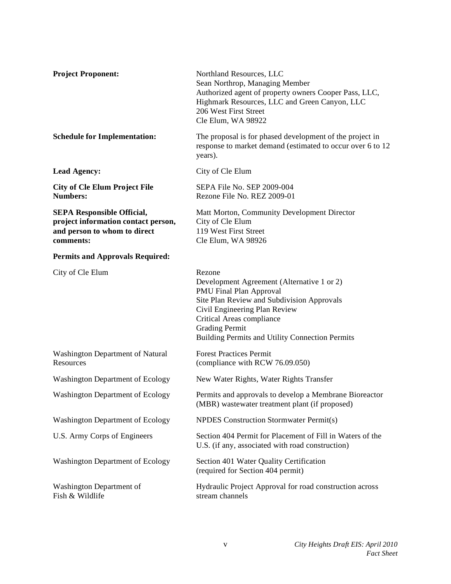| <b>Project Proponent:</b>                                                                                             | Northland Resources, LLC<br>Sean Northrop, Managing Member<br>Authorized agent of property owners Cooper Pass, LLC,<br>Highmark Resources, LLC and Green Canyon, LLC<br>206 West First Street<br>Cle Elum, WA 98922                                                     |
|-----------------------------------------------------------------------------------------------------------------------|-------------------------------------------------------------------------------------------------------------------------------------------------------------------------------------------------------------------------------------------------------------------------|
| <b>Schedule for Implementation:</b>                                                                                   | The proposal is for phased development of the project in<br>response to market demand (estimated to occur over 6 to 12<br>years).                                                                                                                                       |
| <b>Lead Agency:</b>                                                                                                   | City of Cle Elum                                                                                                                                                                                                                                                        |
| <b>City of Cle Elum Project File</b><br><b>Numbers:</b>                                                               | SEPA File No. SEP 2009-004<br>Rezone File No. REZ 2009-01                                                                                                                                                                                                               |
| <b>SEPA Responsible Official,</b><br>project information contact person,<br>and person to whom to direct<br>comments: | Matt Morton, Community Development Director<br>City of Cle Elum<br>119 West First Street<br>Cle Elum, WA 98926                                                                                                                                                          |
| <b>Permits and Approvals Required:</b>                                                                                |                                                                                                                                                                                                                                                                         |
| City of Cle Elum                                                                                                      | Rezone<br>Development Agreement (Alternative 1 or 2)<br>PMU Final Plan Approval<br>Site Plan Review and Subdivision Approvals<br>Civil Engineering Plan Review<br>Critical Areas compliance<br><b>Grading Permit</b><br>Building Permits and Utility Connection Permits |
| Washington Department of Natural<br>Resources                                                                         | <b>Forest Practices Permit</b><br>(compliance with RCW 76.09.050)                                                                                                                                                                                                       |
| <b>Washington Department of Ecology</b>                                                                               | New Water Rights, Water Rights Transfer                                                                                                                                                                                                                                 |
| <b>Washington Department of Ecology</b>                                                                               | Permits and approvals to develop a Membrane Bioreactor<br>(MBR) wastewater treatment plant (if proposed)                                                                                                                                                                |
| <b>Washington Department of Ecology</b>                                                                               | <b>NPDES</b> Construction Stormwater Permit(s)                                                                                                                                                                                                                          |
| U.S. Army Corps of Engineers                                                                                          | Section 404 Permit for Placement of Fill in Waters of the<br>U.S. (if any, associated with road construction)                                                                                                                                                           |
| <b>Washington Department of Ecology</b>                                                                               | Section 401 Water Quality Certification<br>(required for Section 404 permit)                                                                                                                                                                                            |
| Washington Department of<br>Fish & Wildlife                                                                           | Hydraulic Project Approval for road construction across<br>stream channels                                                                                                                                                                                              |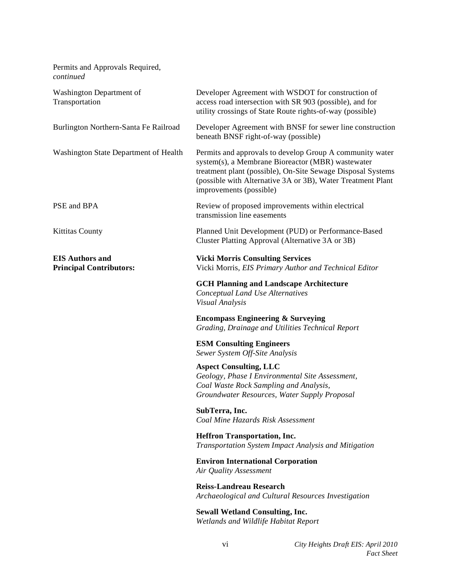| Permits and Approvals Required,<br>continued             |                                                                                                                                                                                                                                                                        |
|----------------------------------------------------------|------------------------------------------------------------------------------------------------------------------------------------------------------------------------------------------------------------------------------------------------------------------------|
| Washington Department of<br>Transportation               | Developer Agreement with WSDOT for construction of<br>access road intersection with SR 903 (possible), and for<br>utility crossings of State Route rights-of-way (possible)                                                                                            |
| Burlington Northern-Santa Fe Railroad                    | Developer Agreement with BNSF for sewer line construction<br>beneath BNSF right-of-way (possible)                                                                                                                                                                      |
| Washington State Department of Health                    | Permits and approvals to develop Group A community water<br>system(s), a Membrane Bioreactor (MBR) wastewater<br>treatment plant (possible), On-Site Sewage Disposal Systems<br>(possible with Alternative 3A or 3B), Water Treatment Plant<br>improvements (possible) |
| PSE and BPA                                              | Review of proposed improvements within electrical<br>transmission line easements                                                                                                                                                                                       |
| <b>Kittitas County</b>                                   | Planned Unit Development (PUD) or Performance-Based<br>Cluster Platting Approval (Alternative 3A or 3B)                                                                                                                                                                |
| <b>EIS Authors and</b><br><b>Principal Contributors:</b> | <b>Vicki Morris Consulting Services</b><br>Vicki Morris, EIS Primary Author and Technical Editor                                                                                                                                                                       |
|                                                          | <b>GCH Planning and Landscape Architecture</b><br>Conceptual Land Use Alternatives<br>Visual Analysis                                                                                                                                                                  |
|                                                          | <b>Encompass Engineering &amp; Surveying</b><br>Grading, Drainage and Utilities Technical Report                                                                                                                                                                       |
|                                                          | <b>ESM Consulting Engineers</b><br>Sewer System Off-Site Analysis                                                                                                                                                                                                      |
|                                                          | <b>Aspect Consulting, LLC</b><br>Geology, Phase I Environmental Site Assessment,<br>Coal Waste Rock Sampling and Analysis,<br>Groundwater Resources, Water Supply Proposal                                                                                             |
|                                                          | SubTerra, Inc.<br>Coal Mine Hazards Risk Assessment                                                                                                                                                                                                                    |
|                                                          | <b>Heffron Transportation, Inc.</b><br>Transportation System Impact Analysis and Mitigation                                                                                                                                                                            |
|                                                          | <b>Environ International Corporation</b><br>Air Quality Assessment                                                                                                                                                                                                     |
|                                                          | <b>Reiss-Landreau Research</b><br>Archaeological and Cultural Resources Investigation                                                                                                                                                                                  |
|                                                          | <b>Sewall Wetland Consulting, Inc.</b><br>Wetlands and Wildlife Habitat Report                                                                                                                                                                                         |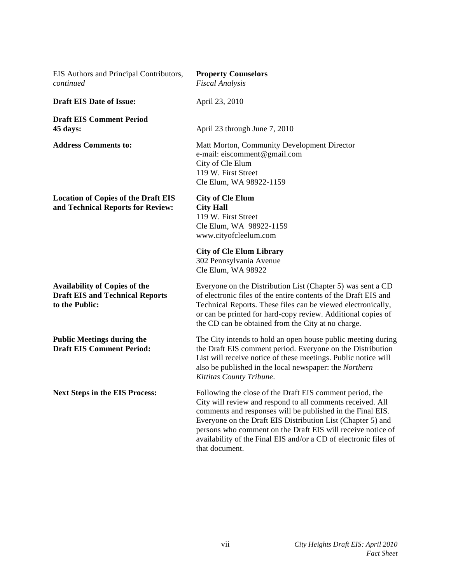| EIS Authors and Principal Contributors,<br>continued                                             | <b>Property Counselors</b><br><b>Fiscal Analysis</b>                                                                                                                                                                                                                                                                                                                                                     |
|--------------------------------------------------------------------------------------------------|----------------------------------------------------------------------------------------------------------------------------------------------------------------------------------------------------------------------------------------------------------------------------------------------------------------------------------------------------------------------------------------------------------|
| <b>Draft EIS Date of Issue:</b>                                                                  | April 23, 2010                                                                                                                                                                                                                                                                                                                                                                                           |
| <b>Draft EIS Comment Period</b><br>45 days:                                                      | April 23 through June 7, 2010                                                                                                                                                                                                                                                                                                                                                                            |
| <b>Address Comments to:</b>                                                                      | Matt Morton, Community Development Director<br>e-mail: eiscomment@gmail.com<br>City of Cle Elum<br>119 W. First Street<br>Cle Elum, WA 98922-1159                                                                                                                                                                                                                                                        |
| <b>Location of Copies of the Draft EIS</b><br>and Technical Reports for Review:                  | <b>City of Cle Elum</b><br><b>City Hall</b><br>119 W. First Street<br>Cle Elum, WA 98922-1159<br>www.cityofcleelum.com                                                                                                                                                                                                                                                                                   |
|                                                                                                  | <b>City of Cle Elum Library</b><br>302 Pennsylvania Avenue<br>Cle Elum, WA 98922                                                                                                                                                                                                                                                                                                                         |
| <b>Availability of Copies of the</b><br><b>Draft EIS and Technical Reports</b><br>to the Public: | Everyone on the Distribution List (Chapter 5) was sent a CD<br>of electronic files of the entire contents of the Draft EIS and<br>Technical Reports. These files can be viewed electronically,<br>or can be printed for hard-copy review. Additional copies of<br>the CD can be obtained from the City at no charge.                                                                                     |
| <b>Public Meetings during the</b><br><b>Draft EIS Comment Period:</b>                            | The City intends to hold an open house public meeting during<br>the Draft EIS comment period. Everyone on the Distribution<br>List will receive notice of these meetings. Public notice will<br>also be published in the local newspaper: the Northern<br>Kittitas County Tribune.                                                                                                                       |
| <b>Next Steps in the EIS Process:</b>                                                            | Following the close of the Draft EIS comment period, the<br>City will review and respond to all comments received. All<br>comments and responses will be published in the Final EIS.<br>Everyone on the Draft EIS Distribution List (Chapter 5) and<br>persons who comment on the Draft EIS will receive notice of<br>availability of the Final EIS and/or a CD of electronic files of<br>that document. |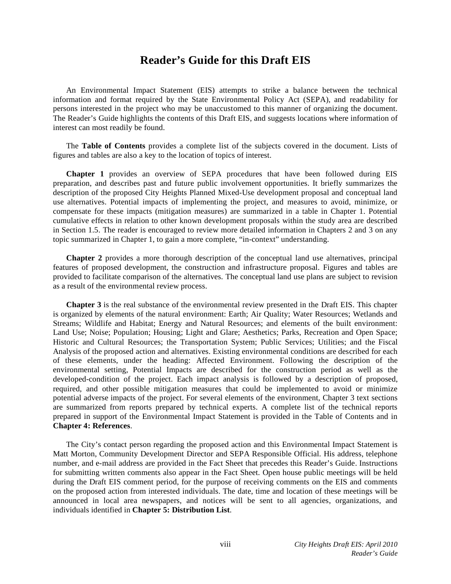## **Reader's Guide for this Draft EIS**

 An Environmental Impact Statement (EIS) attempts to strike a balance between the technical information and format required by the State Environmental Policy Act (SEPA), and readability for persons interested in the project who may be unaccustomed to this manner of organizing the document. The Reader's Guide highlights the contents of this Draft EIS, and suggests locations where information of interest can most readily be found.

 The **Table of Contents** provides a complete list of the subjects covered in the document. Lists of figures and tables are also a key to the location of topics of interest.

**Chapter 1** provides an overview of SEPA procedures that have been followed during EIS preparation, and describes past and future public involvement opportunities. It briefly summarizes the description of the proposed City Heights Planned Mixed-Use development proposal and conceptual land use alternatives. Potential impacts of implementing the project, and measures to avoid, minimize, or compensate for these impacts (mitigation measures) are summarized in a table in Chapter 1. Potential cumulative effects in relation to other known development proposals within the study area are described in Section 1.5. The reader is encouraged to review more detailed information in Chapters 2 and 3 on any topic summarized in Chapter 1, to gain a more complete, "in-context" understanding.

**Chapter 2** provides a more thorough description of the conceptual land use alternatives, principal features of proposed development, the construction and infrastructure proposal. Figures and tables are provided to facilitate comparison of the alternatives. The conceptual land use plans are subject to revision as a result of the environmental review process.

**Chapter 3** is the real substance of the environmental review presented in the Draft EIS. This chapter is organized by elements of the natural environment: Earth; Air Quality; Water Resources; Wetlands and Streams; Wildlife and Habitat; Energy and Natural Resources; and elements of the built environment: Land Use; Noise; Population; Housing; Light and Glare; Aesthetics; Parks, Recreation and Open Space; Historic and Cultural Resources; the Transportation System; Public Services; Utilities; and the Fiscal Analysis of the proposed action and alternatives. Existing environmental conditions are described for each of these elements, under the heading: Affected Environment. Following the description of the environmental setting, Potential Impacts are described for the construction period as well as the developed-condition of the project. Each impact analysis is followed by a description of proposed, required, and other possible mitigation measures that could be implemented to avoid or minimize potential adverse impacts of the project. For several elements of the environment, Chapter 3 text sections are summarized from reports prepared by technical experts. A complete list of the technical reports prepared in support of the Environmental Impact Statement is provided in the Table of Contents and in **Chapter 4: References**.

 The City's contact person regarding the proposed action and this Environmental Impact Statement is Matt Morton, Community Development Director and SEPA Responsible Official. His address, telephone number, and e-mail address are provided in the Fact Sheet that precedes this Reader's Guide. Instructions for submitting written comments also appear in the Fact Sheet. Open house public meetings will be held during the Draft EIS comment period, for the purpose of receiving comments on the EIS and comments on the proposed action from interested individuals. The date, time and location of these meetings will be announced in local area newspapers, and notices will be sent to all agencies, organizations, and individuals identified in **Chapter 5: Distribution List**.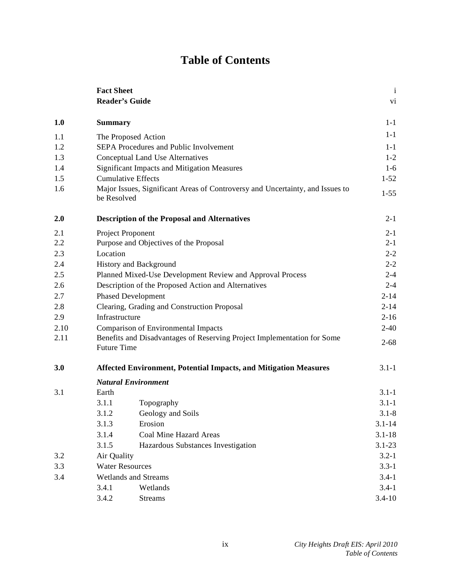# **Table of Contents**

|      | <b>Fact Sheet</b>      |                                                                               | $\mathbf{i}$    |
|------|------------------------|-------------------------------------------------------------------------------|-----------------|
|      | <b>Reader's Guide</b>  |                                                                               | $\overline{vi}$ |
| 1.0  | <b>Summary</b>         |                                                                               | $1-1$           |
| 1.1  |                        | The Proposed Action                                                           | $1-1$           |
| 1.2  |                        | SEPA Procedures and Public Involvement                                        | $1-1$           |
| 1.3  |                        | Conceptual Land Use Alternatives                                              | $1 - 2$         |
| 1.4  |                        | Significant Impacts and Mitigation Measures                                   | $1-6$           |
| 1.5  |                        | <b>Cumulative Effects</b>                                                     | $1 - 52$        |
| 1.6  | be Resolved            | Major Issues, Significant Areas of Controversy and Uncertainty, and Issues to | $1 - 55$        |
| 2.0  |                        | <b>Description of the Proposal and Alternatives</b>                           | $2 - 1$         |
| 2.1  |                        | Project Proponent                                                             | $2 - 1$         |
| 2.2  |                        | Purpose and Objectives of the Proposal                                        | $2 - 1$         |
| 2.3  | Location               |                                                                               | $2 - 2$         |
| 2.4  |                        | History and Background                                                        | $2 - 2$         |
| 2.5  |                        | Planned Mixed-Use Development Review and Approval Process                     | $2 - 4$         |
| 2.6  |                        | Description of the Proposed Action and Alternatives                           | $2 - 4$         |
| 2.7  |                        | <b>Phased Development</b>                                                     | $2 - 14$        |
| 2.8  |                        | Clearing, Grading and Construction Proposal                                   | $2 - 14$        |
| 2.9  | Infrastructure         |                                                                               | $2 - 16$        |
| 2.10 |                        | <b>Comparison of Environmental Impacts</b>                                    | $2 - 40$        |
| 2.11 | <b>Future Time</b>     | Benefits and Disadvantages of Reserving Project Implementation for Some       | $2 - 68$        |
| 3.0  |                        | <b>Affected Environment, Potential Impacts, and Mitigation Measures</b>       | $3.1 - 1$       |
|      |                        | <b>Natural Environment</b>                                                    |                 |
| 3.1  | Earth                  |                                                                               | $3.1 - 1$       |
|      | 3.1.1                  | Topography                                                                    | $3.1 - 1$       |
|      | 3.1.2                  | Geology and Soils                                                             | $3.1 - 8$       |
|      | 3.1.3                  | Erosion                                                                       | $3.1 - 14$      |
|      | 3.1.4                  | Coal Mine Hazard Areas                                                        | $3.1 - 18$      |
|      | 3.1.5                  | Hazardous Substances Investigation                                            | $3.1 - 23$      |
| 3.2  | Air Quality            |                                                                               | $3.2 - 1$       |
| 3.3  | <b>Water Resources</b> |                                                                               | $3.3 - 1$       |
| 3.4  |                        | <b>Wetlands and Streams</b>                                                   | $3.4 - 1$       |
|      | 3.4.1                  | Wetlands                                                                      | $3.4 - 1$       |
|      | 3.4.2                  | <b>Streams</b>                                                                | $3.4 - 10$      |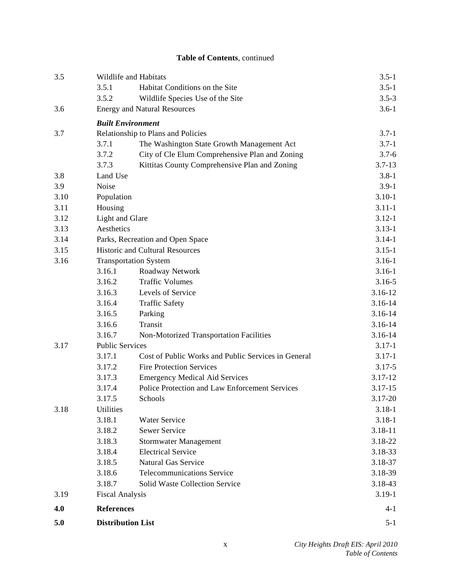| 3.5  | Wildlife and Habitats<br>3.5.1         | Habitat Conditions on the Site                      | $3.5 - 1$<br>$3.5 - 1$ |
|------|----------------------------------------|-----------------------------------------------------|------------------------|
|      |                                        |                                                     | $3.5 - 3$              |
| 3.6  | 3.5.2                                  | Wildlife Species Use of the Site                    | $3.6 - 1$              |
|      | <b>Energy and Natural Resources</b>    |                                                     |                        |
|      | <b>Built Environment</b>               |                                                     |                        |
| 3.7  |                                        | Relationship to Plans and Policies                  | $3.7 - 1$              |
|      | 3.7.1                                  | The Washington State Growth Management Act          | $3.7 - 1$              |
|      | 3.7.2                                  | City of Cle Elum Comprehensive Plan and Zoning      | $3.7 - 6$              |
|      | 3.7.3                                  | Kittitas County Comprehensive Plan and Zoning       | $3.7 - 13$             |
| 3.8  | Land Use                               |                                                     | $3.8 - 1$              |
| 3.9  | Noise                                  |                                                     | $3.9 - 1$              |
| 3.10 | Population                             |                                                     | $3.10 - 1$             |
| 3.11 | Housing                                |                                                     | $3.11 - 1$             |
| 3.12 | Light and Glare                        |                                                     | $3.12 - 1$             |
| 3.13 | Aesthetics                             |                                                     | $3.13 - 1$             |
| 3.14 |                                        | Parks, Recreation and Open Space                    | $3.14 - 1$             |
| 3.15 | <b>Historic and Cultural Resources</b> |                                                     | $3.15 - 1$             |
| 3.16 | <b>Transportation System</b>           |                                                     | $3.16 - 1$             |
|      | 3.16.1                                 | Roadway Network                                     | $3.16 - 1$             |
|      | 3.16.2                                 | <b>Traffic Volumes</b>                              | $3.16 - 5$             |
|      | 3.16.3                                 | Levels of Service                                   | 3.16-12                |
|      | 3.16.4                                 | <b>Traffic Safety</b>                               | 3.16-14                |
|      | 3.16.5                                 | Parking                                             | 3.16-14                |
|      | 3.16.6                                 | Transit                                             | 3.16-14                |
|      | 3.16.7                                 | Non-Motorized Transportation Facilities             | 3.16-14                |
| 3.17 | <b>Public Services</b>                 |                                                     | $3.17 - 1$             |
|      | 3.17.1                                 | Cost of Public Works and Public Services in General | $3.17 - 1$             |
|      | 3.17.2                                 | <b>Fire Protection Services</b>                     | $3.17 - 5$             |
|      | 3.17.3                                 | <b>Emergency Medical Aid Services</b>               | 3.17-12                |
|      | 3.17.4                                 | Police Protection and Law Enforcement Services      | $3.17 - 15$            |
|      | 3.17.5                                 | Schools                                             | 3.17-20                |
| 3.18 | Utilities                              |                                                     | $3.18 - 1$             |
|      | 3.18.1                                 | Water Service                                       | $3.18 - 1$             |
|      | 3.18.2                                 | <b>Sewer Service</b>                                | 3.18-11                |
|      | 3.18.3                                 | Stormwater Management                               | 3.18-22                |
|      | 3.18.4                                 | <b>Electrical Service</b>                           | 3.18-33                |
|      | 3.18.5                                 | <b>Natural Gas Service</b>                          | 3.18-37                |
|      | 3.18.6                                 | <b>Telecommunications Service</b>                   | 3.18-39                |
|      | 3.18.7                                 | <b>Solid Waste Collection Service</b>               | 3.18-43                |
| 3.19 | <b>Fiscal Analysis</b>                 |                                                     | $3.19 - 1$             |
| 4.0  | <b>References</b>                      |                                                     | 4-1                    |
| 5.0  | <b>Distribution List</b>               |                                                     | $5 - 1$                |

**Table of Contents**, continued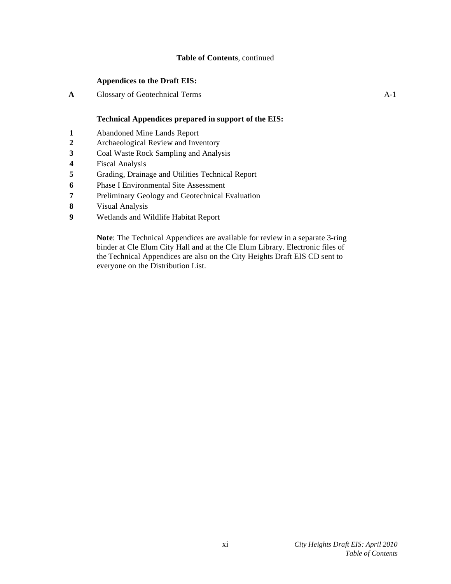#### **Table of Contents**, continued

#### **Appendices to the Draft EIS:**

**A** Glossary of Geotechnical Terms A-1

#### **Technical Appendices prepared in support of the EIS:**

- **1** Abandoned Mine Lands Report
- **2** Archaeological Review and Inventory
- **3** Coal Waste Rock Sampling and Analysis
- **4** Fiscal Analysis
- **5** Grading, Drainage and Utilities Technical Report
- **6** Phase I Environmental Site Assessment
- **7** Preliminary Geology and Geotechnical Evaluation
- **8** Visual Analysis
- **9** Wetlands and Wildlife Habitat Report

**Note**: The Technical Appendices are available for review in a separate 3-ring binder at Cle Elum City Hall and at the Cle Elum Library. Electronic files of the Technical Appendices are also on the City Heights Draft EIS CD sent to everyone on the Distribution List.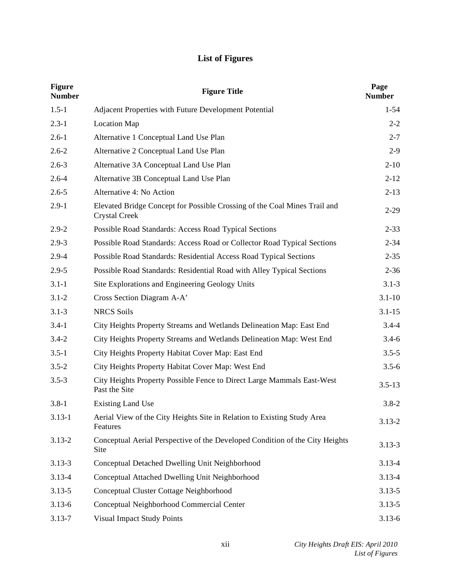# **List of Figures**

| <b>Figure</b><br><b>Number</b> | <b>Figure Title</b>                                                                        | Page<br><b>Number</b> |
|--------------------------------|--------------------------------------------------------------------------------------------|-----------------------|
| $1.5 - 1$                      | Adjacent Properties with Future Development Potential                                      | $1 - 54$              |
| $2.3 - 1$                      | <b>Location Map</b>                                                                        | $2 - 2$               |
| $2.6 - 1$                      | Alternative 1 Conceptual Land Use Plan                                                     | $2 - 7$               |
| $2.6 - 2$                      | Alternative 2 Conceptual Land Use Plan                                                     | $2-9$                 |
| $2.6 - 3$                      | Alternative 3A Conceptual Land Use Plan                                                    | $2 - 10$              |
| $2.6 - 4$                      | Alternative 3B Conceptual Land Use Plan                                                    | $2 - 12$              |
| $2.6 - 5$                      | Alternative 4: No Action                                                                   | $2 - 13$              |
| $2.9 - 1$                      | Elevated Bridge Concept for Possible Crossing of the Coal Mines Trail and<br>Crystal Creek | $2 - 29$              |
| $2.9 - 2$                      | Possible Road Standards: Access Road Typical Sections                                      | $2 - 33$              |
| $2.9 - 3$                      | Possible Road Standards: Access Road or Collector Road Typical Sections                    | $2 - 34$              |
| $2.9 - 4$                      | Possible Road Standards: Residential Access Road Typical Sections                          | $2 - 35$              |
| $2.9 - 5$                      | Possible Road Standards: Residential Road with Alley Typical Sections                      | $2 - 36$              |
| $3.1 - 1$                      | Site Explorations and Engineering Geology Units                                            | $3.1 - 3$             |
| $3.1 - 2$                      | Cross Section Diagram A-A'                                                                 | $3.1 - 10$            |
| $3.1 - 3$                      | <b>NRCS</b> Soils                                                                          | $3.1 - 15$            |
| $3.4 - 1$                      | City Heights Property Streams and Wetlands Delineation Map: East End                       | $3.4 - 4$             |
| $3.4 - 2$                      | City Heights Property Streams and Wetlands Delineation Map: West End                       | $3.4 - 6$             |
| $3.5 - 1$                      | City Heights Property Habitat Cover Map: East End                                          | $3.5 - 5$             |
| $3.5 - 2$                      | City Heights Property Habitat Cover Map: West End                                          | $3.5 - 6$             |
| $3.5 - 3$                      | City Heights Property Possible Fence to Direct Large Mammals East-West<br>Past the Site    | $3.5 - 13$            |
| $3.8 - 1$                      | <b>Existing Land Use</b>                                                                   | $3.8 - 2$             |
| $3.13 - 1$                     | Aerial View of the City Heights Site in Relation to Existing Study Area<br>Features        | $3.13 - 2$            |
| $3.13 - 2$                     | Conceptual Aerial Perspective of the Developed Condition of the City Heights<br>Site       | $3.13 - 3$            |
| $3.13 - 3$                     | Conceptual Detached Dwelling Unit Neighborhood                                             | $3.13 - 4$            |
| $3.13 - 4$                     | Conceptual Attached Dwelling Unit Neighborhood                                             | $3.13 - 4$            |
| $3.13 - 5$                     | Conceptual Cluster Cottage Neighborhood                                                    | $3.13 - 5$            |
| $3.13 - 6$                     | Conceptual Neighborhood Commercial Center                                                  | $3.13 - 5$            |
| $3.13 - 7$                     | <b>Visual Impact Study Points</b>                                                          | $3.13 - 6$            |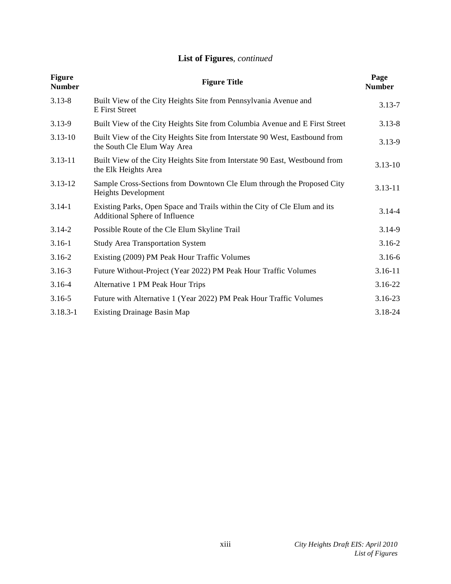# **List of Figures**, *continued*

| <b>Figure</b><br><b>Number</b> | <b>Figure Title</b>                                                                                                | Page<br><b>Number</b> |
|--------------------------------|--------------------------------------------------------------------------------------------------------------------|-----------------------|
| $3.13 - 8$                     | Built View of the City Heights Site from Pennsylvania Avenue and<br><b>E</b> First Street                          | $3.13 - 7$            |
| $3.13 - 9$                     | Built View of the City Heights Site from Columbia Avenue and E First Street                                        | $3.13 - 8$            |
| $3.13 - 10$                    | Built View of the City Heights Site from Interstate 90 West, Eastbound from<br>the South Cle Elum Way Area         | $3.13 - 9$            |
| $3.13 - 11$                    | Built View of the City Heights Site from Interstate 90 East, Westbound from<br>the Elk Heights Area                | $3.13 - 10$           |
| $3.13 - 12$                    | Sample Cross-Sections from Downtown Cle Elum through the Proposed City<br>Heights Development                      | $3.13 - 11$           |
| $3.14 - 1$                     | Existing Parks, Open Space and Trails within the City of Cle Elum and its<br><b>Additional Sphere of Influence</b> | $3.14 - 4$            |
| $3.14 - 2$                     | Possible Route of the Cle Elum Skyline Trail                                                                       | $3.14 - 9$            |
| $3.16 - 1$                     | <b>Study Area Transportation System</b>                                                                            | $3.16 - 2$            |
| $3.16 - 2$                     | Existing (2009) PM Peak Hour Traffic Volumes                                                                       | $3.16 - 6$            |
| $3.16 - 3$                     | Future Without-Project (Year 2022) PM Peak Hour Traffic Volumes                                                    | $3.16 - 11$           |
| $3.16 - 4$                     | Alternative 1 PM Peak Hour Trips                                                                                   | 3.16-22               |
| $3.16 - 5$                     | Future with Alternative 1 (Year 2022) PM Peak Hour Traffic Volumes                                                 | 3.16-23               |
| $3.18.3 - 1$                   | <b>Existing Drainage Basin Map</b>                                                                                 | 3.18-24               |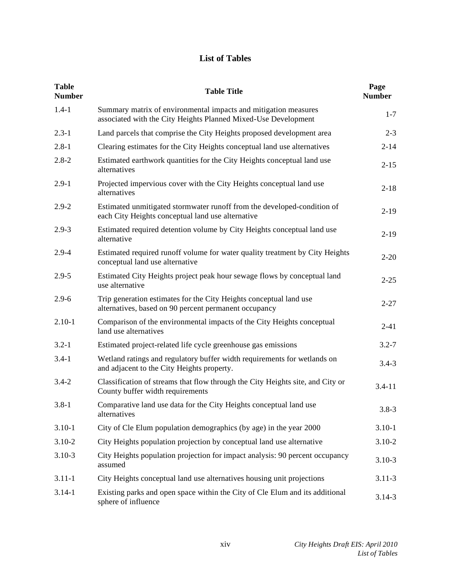# **List of Tables**

| <b>Table</b><br><b>Number</b> | <b>Table Title</b>                                                                                                                | Page<br><b>Number</b> |
|-------------------------------|-----------------------------------------------------------------------------------------------------------------------------------|-----------------------|
| $1.4 - 1$                     | Summary matrix of environmental impacts and mitigation measures<br>associated with the City Heights Planned Mixed-Use Development | $1 - 7$               |
| $2.3 - 1$                     | Land parcels that comprise the City Heights proposed development area                                                             | $2 - 3$               |
| $2.8 - 1$                     | Clearing estimates for the City Heights conceptual land use alternatives                                                          | $2 - 14$              |
| $2.8 - 2$                     | Estimated earthwork quantities for the City Heights conceptual land use<br>alternatives                                           | $2 - 15$              |
| $2.9 - 1$                     | Projected impervious cover with the City Heights conceptual land use<br>alternatives                                              | $2 - 18$              |
| $2.9 - 2$                     | Estimated unmitigated stormwater runoff from the developed-condition of<br>each City Heights conceptual land use alternative      | $2-19$                |
| $2.9 - 3$                     | Estimated required detention volume by City Heights conceptual land use<br>alternative                                            | $2-19$                |
| $2.9 - 4$                     | Estimated required runoff volume for water quality treatment by City Heights<br>conceptual land use alternative                   | $2 - 20$              |
| $2.9 - 5$                     | Estimated City Heights project peak hour sewage flows by conceptual land<br>use alternative                                       | $2 - 25$              |
| $2.9 - 6$                     | Trip generation estimates for the City Heights conceptual land use<br>alternatives, based on 90 percent permanent occupancy       | $2 - 27$              |
| $2.10 - 1$                    | Comparison of the environmental impacts of the City Heights conceptual<br>land use alternatives                                   | $2 - 41$              |
| $3.2 - 1$                     | Estimated project-related life cycle greenhouse gas emissions                                                                     | $3.2 - 7$             |
| $3.4 - 1$                     | Wetland ratings and regulatory buffer width requirements for wetlands on<br>and adjacent to the City Heights property.            | $3.4 - 3$             |
| $3.4 - 2$                     | Classification of streams that flow through the City Heights site, and City or<br>County buffer width requirements                | $3.4 - 11$            |
| $3.8 - 1$                     | Comparative land use data for the City Heights conceptual land use<br>alternatives                                                | $3.8 - 3$             |
| $3.10 - 1$                    | City of Cle Elum population demographics (by age) in the year 2000                                                                | $3.10 - 1$            |
| $3.10 - 2$                    | City Heights population projection by conceptual land use alternative                                                             | $3.10 - 2$            |
| $3.10 - 3$                    | City Heights population projection for impact analysis: 90 percent occupancy<br>assumed                                           | $3.10 - 3$            |
| $3.11 - 1$                    | City Heights conceptual land use alternatives housing unit projections                                                            | $3.11 - 3$            |
| $3.14 - 1$                    | Existing parks and open space within the City of Cle Elum and its additional<br>sphere of influence                               | $3.14 - 3$            |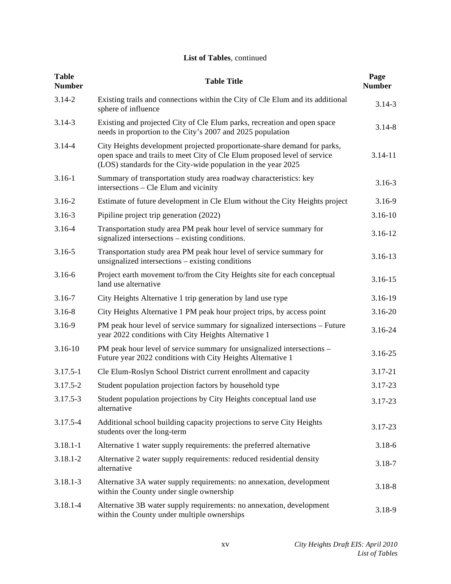### **List of Tables**, continued

| <b>Table</b><br><b>Number</b> | <b>Table Title</b>                                                                                                                                                                                                    | Page<br><b>Number</b> |
|-------------------------------|-----------------------------------------------------------------------------------------------------------------------------------------------------------------------------------------------------------------------|-----------------------|
| $3.14 - 2$                    | Existing trails and connections within the City of Cle Elum and its additional<br>sphere of influence                                                                                                                 | $3.14 - 3$            |
| $3.14 - 3$                    | Existing and projected City of Cle Elum parks, recreation and open space<br>needs in proportion to the City's 2007 and 2025 population                                                                                | $3.14 - 8$            |
| $3.14 - 4$                    | City Heights development projected proportionate-share demand for parks,<br>open space and trails to meet City of Cle Elum proposed level of service<br>(LOS) standards for the City-wide population in the year 2025 | $3.14 - 11$           |
| $3.16 - 1$                    | Summary of transportation study area roadway characteristics: key<br>intersections – Cle Elum and vicinity                                                                                                            | $3.16 - 3$            |
| $3.16 - 2$                    | Estimate of future development in Cle Elum without the City Heights project                                                                                                                                           | $3.16 - 9$            |
| $3.16 - 3$                    | Pipiline project trip generation (2022)                                                                                                                                                                               | $3.16 - 10$           |
| 3.16-4                        | Transportation study area PM peak hour level of service summary for<br>signalized intersections – existing conditions.                                                                                                | $3.16 - 12$           |
| $3.16 - 5$                    | Transportation study area PM peak hour level of service summary for<br>unsignalized intersections – existing conditions                                                                                               | 3.16-13               |
| $3.16 - 6$                    | Project earth movement to/from the City Heights site for each conceptual<br>land use alternative                                                                                                                      | $3.16 - 15$           |
| $3.16 - 7$                    | City Heights Alternative 1 trip generation by land use type                                                                                                                                                           | 3.16-19               |
| $3.16 - 8$                    | City Heights Alternative 1 PM peak hour project trips, by access point                                                                                                                                                | 3.16-20               |
| 3.16-9                        | PM peak hour level of service summary for signalized intersections – Future<br>year 2022 conditions with City Heights Alternative 1                                                                                   | 3.16-24               |
| $3.16 - 10$                   | PM peak hour level of service summary for unsignalized intersections -<br>Future year 2022 conditions with City Heights Alternative 1                                                                                 | 3.16-25               |
| $3.17.5 - 1$                  | Cle Elum-Roslyn School District current enrollment and capacity                                                                                                                                                       | 3.17-21               |
| 3.17.5-2                      | Student population projection factors by household type                                                                                                                                                               | 3.17-23               |
| $3.17.5 - 3$                  | Student population projections by City Heights conceptual land use<br>alternative                                                                                                                                     | 3.17-23               |
| 3.17.5-4                      | Additional school building capacity projections to serve City Heights<br>students over the long-term                                                                                                                  | $3.17 - 23$           |
| $3.18.1 - 1$                  | Alternative 1 water supply requirements: the preferred alternative                                                                                                                                                    | $3.18 - 6$            |
| $3.18.1 - 2$                  | Alternative 2 water supply requirements: reduced residential density<br>alternative                                                                                                                                   | $3.18 - 7$            |
| $3.18.1 - 3$                  | Alternative 3A water supply requirements: no annexation, development<br>within the County under single ownership                                                                                                      | $3.18 - 8$            |
| 3.18.1-4                      | Alternative 3B water supply requirements: no annexation, development<br>within the County under multiple ownerships                                                                                                   | 3.18-9                |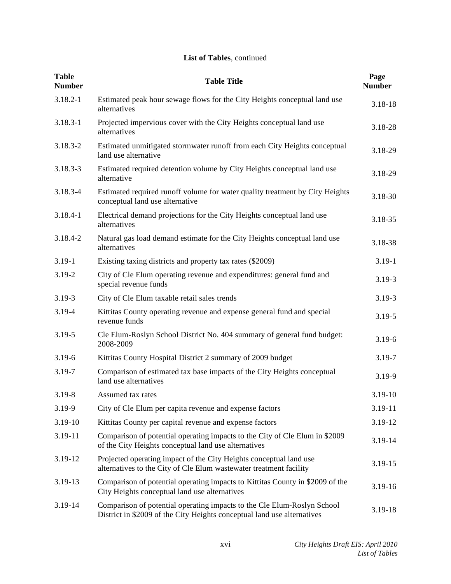### **List of Tables**, continued

| <b>Table</b><br><b>Number</b> | <b>Table Title</b>                                                                                                                                 | Page<br><b>Number</b> |
|-------------------------------|----------------------------------------------------------------------------------------------------------------------------------------------------|-----------------------|
| $3.18.2 - 1$                  | Estimated peak hour sewage flows for the City Heights conceptual land use<br>alternatives                                                          | 3.18-18               |
| $3.18.3 - 1$                  | Projected impervious cover with the City Heights conceptual land use<br>alternatives                                                               | 3.18-28               |
| 3.18.3-2                      | Estimated unmitigated stormwater runoff from each City Heights conceptual<br>land use alternative                                                  | 3.18-29               |
| $3.18.3 - 3$                  | Estimated required detention volume by City Heights conceptual land use<br>alternative                                                             | 3.18-29               |
| 3.18.3-4                      | Estimated required runoff volume for water quality treatment by City Heights<br>conceptual land use alternative                                    | 3.18-30               |
| $3.18.4 - 1$                  | Electrical demand projections for the City Heights conceptual land use<br>alternatives                                                             | 3.18-35               |
| 3.18.4-2                      | Natural gas load demand estimate for the City Heights conceptual land use<br>alternatives                                                          | 3.18-38               |
| $3.19 - 1$                    | Existing taxing districts and property tax rates (\$2009)                                                                                          | $3.19 - 1$            |
| 3.19-2                        | City of Cle Elum operating revenue and expenditures: general fund and<br>special revenue funds                                                     | $3.19 - 3$            |
| $3.19 - 3$                    | City of Cle Elum taxable retail sales trends                                                                                                       | $3.19 - 3$            |
| 3.19-4                        | Kittitas County operating revenue and expense general fund and special<br>revenue funds                                                            | $3.19 - 5$            |
| 3.19-5                        | Cle Elum-Roslyn School District No. 404 summary of general fund budget:<br>2008-2009                                                               | $3.19 - 6$            |
| $3.19 - 6$                    | Kittitas County Hospital District 2 summary of 2009 budget                                                                                         | $3.19 - 7$            |
| 3.19-7                        | Comparison of estimated tax base impacts of the City Heights conceptual<br>land use alternatives                                                   | 3.19-9                |
| $3.19 - 8$                    | Assumed tax rates                                                                                                                                  | 3.19-10               |
| 3.19-9                        | City of Cle Elum per capita revenue and expense factors                                                                                            | 3.19-11               |
| 3.19-10                       | Kittitas County per capital revenue and expense factors                                                                                            | 3.19-12               |
| 3.19-11                       | Comparison of potential operating impacts to the City of Cle Elum in \$2009<br>of the City Heights conceptual land use alternatives                | 3.19-14               |
| 3.19-12                       | Projected operating impact of the City Heights conceptual land use<br>alternatives to the City of Cle Elum wastewater treatment facility           | 3.19-15               |
| 3.19-13                       | Comparison of potential operating impacts to Kittitas County in \$2009 of the<br>City Heights conceptual land use alternatives                     | 3.19-16               |
| 3.19-14                       | Comparison of potential operating impacts to the Cle Elum-Roslyn School<br>District in \$2009 of the City Heights conceptual land use alternatives | 3.19-18               |